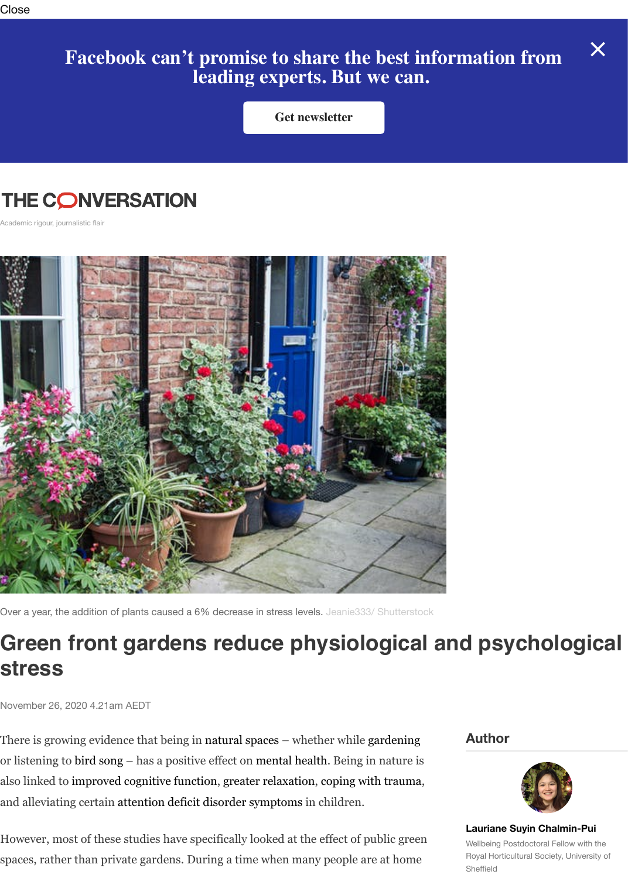## **THE CONVERSATION**

Academic rigour, journalistic flair



Over a year, the addition of plants caused a 6% decrease in stress levels. Jeanie333/ Shutterstock

## **Green front gardens reduce physiological and psycho stress**

November 26, 2020 4.21am AEDT

There is growing evidence that being in natural spaces – whether while gardening or listening to bird song – has a positive effect on mental health. Being in nature is also linked to improved cognitive function, greater relaxation, [coping with trauma,](https://www.shutterstock.com/image-photo/front-house-door-uk-pots-planters-756400696) and alleviating certain attention deficit disorder symptoms in children.

However, most of these studies have specifically looked at the effect of public green spaces, rather than private gardens. During a time when many people are at home

## **Author**



**Lauriane Suyin Ch** Wellbeing Postdoctoral Royal Horticultural Soci Sheffield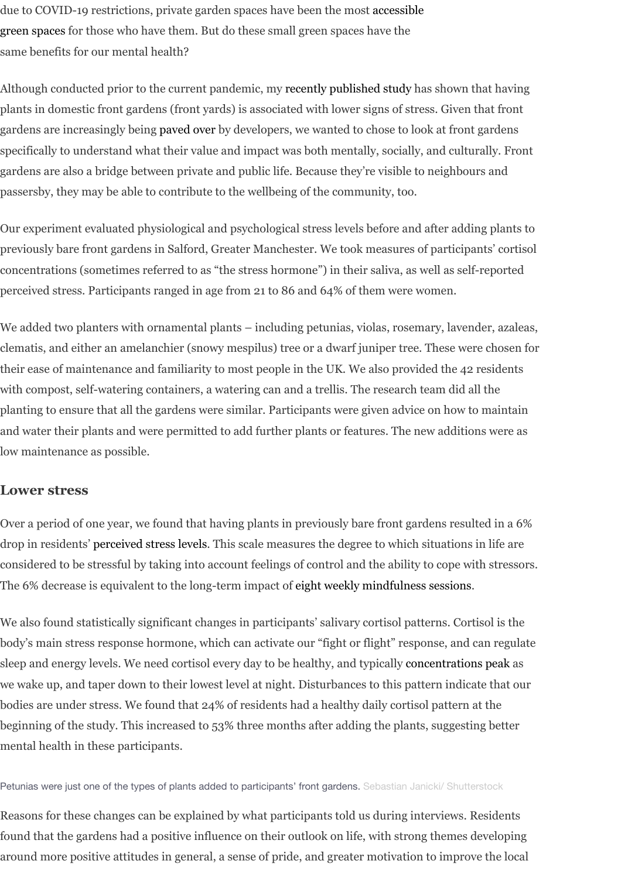gardens are also a bridge between private and public life. Because they're visible to neighbours and [passersby, they may be able to contribute to the wellbeing of the community, too.](https://www.rhs.org.uk/advice/health-and-wellbeing/articles/Lockdown-lowdown)

Our experiment evaluated physiological and psychological stress levels before and after adding plants to previously bare front gardens in Salford, Greater Manc[hester. We took measures](https://www.sciencedirect.com/science/article/pii/S016920462030325X) of participants' cortisol concentrations (sometimes referred to as "the stress hormone") in their saliva, as well as self-reported perceived stress. Participants r[anged in ag](https://www.mdpi.com/2078-1547/10/2/37)e from 21 to 86 and 64% of them were women.

We added two planters with ornamental plants – including petunias, violas, rosemary, lavender, azaleas, clematis, and either an amelanchier (snowy mespilus) tree or a dwarf juniper tree. These were chosen for their ease of maintenance and familiarity to most people in the UK. We also provided the 42 residents with compost, self-watering containers, a watering can and a trellis. The research team did all the planting to ensure that all the gardens were similar. Participants were given advice on how to maintain and water their plants and were permitted to add further plants or features. The new additions were as low maintenance as possible.

## **Lower stress**

Over a period of one year, we found that having plants in previously bare front gardens resulted in a 6% drop in residents' perceived stress levels. This scale measures the degree to which situations in life are considered to be stressful by taking into account feelings of control and the ability to cope with stressors. The 6% decrease is equivalent to the long-term impact of eight weekly mindfulness sessions.

We also found statistically significant changes in participants' salivary cortisol patterns. Cortisol is the body's main stress response hormone, which can activate our "fight or flight" response, and can regulate sleep and energy levels. We need cortisol every day to be healthy, and typically concentrations peak as we wake up, and taper down to their lowest level at night. Disturbances to this pattern indicate that our bodies are under [stress. We found that 2](https://www.jstor.org/stable/2136404?seq=1)4% of residents had a healthy daily cortisol pattern at the beginning of the study. This increased to 53% three months after adding the plants, suggesting better mental health in these participants.

Petunias were just one of the types of plants added to participants' front gardens. Sebastian Janicki/ Shutterstock

Reasons for these changes can be explained by what participants told us during interviews. Residents found that the gardens had a positive influence on their outlook on life, with st[rong themes develop](https://www.ncbi.nlm.nih.gov/pmc/articles/PMC5568897/)ing around more positive attitudes in general, a sense of pride, and greater motivation to improve the local